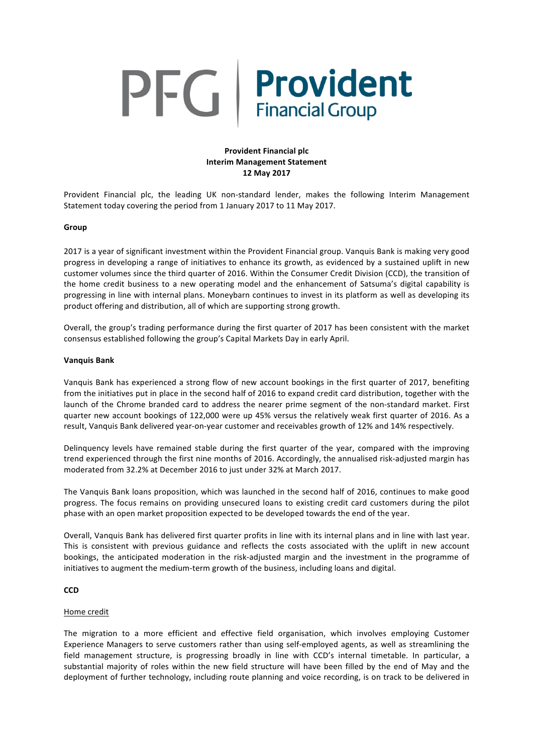# PFG | Provident

# **Provident Financial plc Interim Management Statement 12 May 2017**

Provident Financial plc, the leading UK non-standard lender, makes the following Interim Management Statement today covering the period from 1 January 2017 to 11 May 2017.

#### **Group**

2017 is a year of significant investment within the Provident Financial group. Vanquis Bank is making very good progress in developing a range of initiatives to enhance its growth, as evidenced by a sustained uplift in new customer volumes since the third quarter of 2016. Within the Consumer Credit Division (CCD), the transition of the home credit business to a new operating model and the enhancement of Satsuma's digital capability is progressing in line with internal plans. Moneybarn continues to invest in its platform as well as developing its product offering and distribution, all of which are supporting strong growth.

Overall, the group's trading performance during the first quarter of 2017 has been consistent with the market consensus established following the group's Capital Markets Day in early April.

#### **Vanquis Bank**

Vanquis Bank has experienced a strong flow of new account bookings in the first quarter of 2017, benefiting from the initiatives put in place in the second half of 2016 to expand credit card distribution, together with the launch of the Chrome branded card to address the nearer prime segment of the non-standard market. First quarter new account bookings of 122,000 were up 45% versus the relatively weak first quarter of 2016. As a result, Vanquis Bank delivered year-on-year customer and receivables growth of 12% and 14% respectively.

Delinquency levels have remained stable during the first quarter of the year, compared with the improving trend experienced through the first nine months of 2016. Accordingly, the annualised risk-adjusted margin has moderated from 32.2% at December 2016 to just under 32% at March 2017.

The Vanquis Bank loans proposition, which was launched in the second half of 2016, continues to make good progress. The focus remains on providing unsecured loans to existing credit card customers during the pilot phase with an open market proposition expected to be developed towards the end of the year.

Overall, Vanquis Bank has delivered first quarter profits in line with its internal plans and in line with last year. This is consistent with previous guidance and reflects the costs associated with the uplift in new account bookings, the anticipated moderation in the risk-adjusted margin and the investment in the programme of initiatives to augment the medium-term growth of the business, including loans and digital.

# **CCD**

#### Home credit

The migration to a more efficient and effective field organisation, which involves employing Customer Experience Managers to serve customers rather than using self-employed agents, as well as streamlining the field management structure, is progressing broadly in line with CCD's internal timetable. In particular, a substantial majority of roles within the new field structure will have been filled by the end of May and the deployment of further technology, including route planning and voice recording, is on track to be delivered in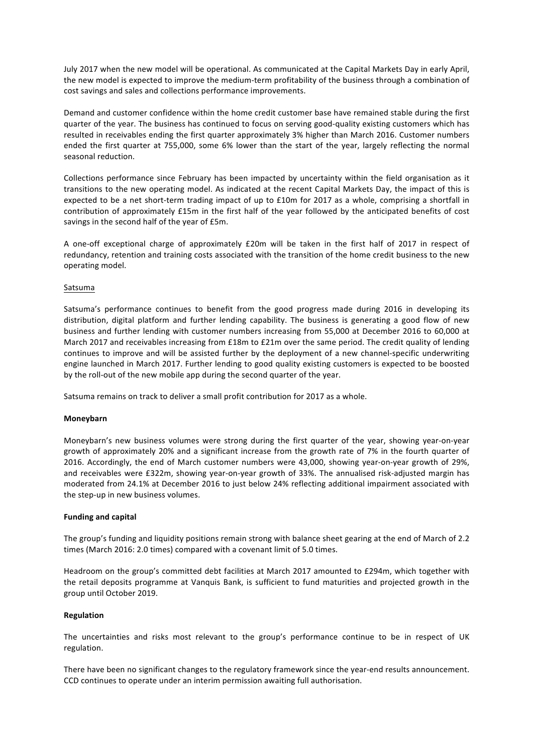July 2017 when the new model will be operational. As communicated at the Capital Markets Day in early April, the new model is expected to improve the medium-term profitability of the business through a combination of cost savings and sales and collections performance improvements.

Demand and customer confidence within the home credit customer base have remained stable during the first quarter of the year. The business has continued to focus on serving good-quality existing customers which has resulted in receivables ending the first quarter approximately 3% higher than March 2016. Customer numbers ended the first quarter at 755,000, some 6% lower than the start of the year, largely reflecting the normal seasonal reduction.

Collections performance since February has been impacted by uncertainty within the field organisation as it transitions to the new operating model. As indicated at the recent Capital Markets Day, the impact of this is expected to be a net short-term trading impact of up to £10m for 2017 as a whole, comprising a shortfall in contribution of approximately £15m in the first half of the year followed by the anticipated benefits of cost savings in the second half of the year of £5m.

A one-off exceptional charge of approximately £20m will be taken in the first half of 2017 in respect of redundancy, retention and training costs associated with the transition of the home credit business to the new operating model.

# Satsuma

Satsuma's performance continues to benefit from the good progress made during 2016 in developing its distribution, digital platform and further lending capability. The business is generating a good flow of new business and further lending with customer numbers increasing from 55,000 at December 2016 to 60,000 at March 2017 and receivables increasing from £18m to £21m over the same period. The credit quality of lending continues to improve and will be assisted further by the deployment of a new channel-specific underwriting engine launched in March 2017. Further lending to good quality existing customers is expected to be boosted by the roll-out of the new mobile app during the second quarter of the year.

Satsuma remains on track to deliver a small profit contribution for 2017 as a whole.

# **Moneybarn**

Moneybarn's new business volumes were strong during the first quarter of the year, showing year-on-year growth of approximately 20% and a significant increase from the growth rate of 7% in the fourth quarter of 2016. Accordingly, the end of March customer numbers were 43,000, showing year-on-year growth of 29%, and receivables were £322m, showing year-on-year growth of 33%. The annualised risk-adjusted margin has moderated from 24.1% at December 2016 to just below 24% reflecting additional impairment associated with the step-up in new business volumes.

# **Funding and capital**

The group's funding and liquidity positions remain strong with balance sheet gearing at the end of March of 2.2 times (March 2016: 2.0 times) compared with a covenant limit of 5.0 times. 

Headroom on the group's committed debt facilities at March 2017 amounted to £294m, which together with the retail deposits programme at Vanquis Bank, is sufficient to fund maturities and projected growth in the group until October 2019.

# **Regulation**

The uncertainties and risks most relevant to the group's performance continue to be in respect of UK regulation.

There have been no significant changes to the regulatory framework since the year-end results announcement. CCD continues to operate under an interim permission awaiting full authorisation.